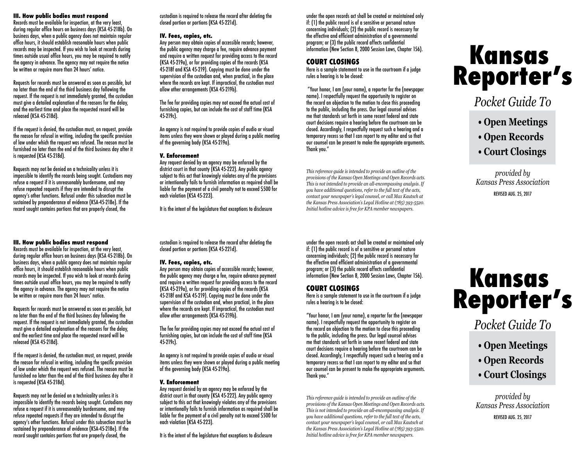#### **III. How public bodies must respond**

Records must be available for inspection, at the very least, during regular office hours on business days (KSA 45-218b). On business days, when a public agency does not maintain regular office hours, it should establish reasonable hours when public records may be inspected. If you wish to look at records during times outside usual office hours, you may be required to notify the agency in advance. The agency may not require the notice be written or require more than 24 hours' notice.

Requests for records must be answered as soon as possible, but no later than the end of the third business day following the request. If the request is not immediately granted, the custodian must give a detailed explanation of the reasons for the delay. and the earliest time and place the requested record will be released (KSA 45-218d).

If the request is denied, the custodian must, on request, provide the reason for refusal in writing, including the specific provision of law under which the request was refused. The reason must be furnished no later than the end of the third business day after it is requested (KSA 45-218d).

Requests may not be denied on a technicality unless it is impossible to identify the records being sought. Custodians may refuse a request if it is unreasonably burdensome, and may refuse repeated requests if they are intended to disrupt the agency's other functions. Refusal under this subsection must be sustained by preponderance of evidence (KSA-45-218e). If the record sought contains portions that are properly closed, the

#### **III. How public bodies must respond**

Records must be available for inspection, at the very least, during regular office hours on business days (KSA 45-218b). On business days, when a public agency does not maintain regular office hours, it should establish reasonable hours when public records may be inspected. If you wish to look at records during times outside usual office hours, you may be required to notify the agency in advance. The agency may not require the notice be written or require more than 24 hours' notice.

Requests for records must be answered as soon as possible, but no later than the end of the third business day following the request. If the request is not immediately granted, the custodian must give a detailed explanation of the reasons for the delay. and the earliest time and place the requested record will be released (KSA 45-218d).

If the request is denied, the custodian must, on request, provide the reason for refusal in writing, including the specific provision of law under which the request was refused. The reason must be furnished no later than the end of the third business day after it is requested (KSA 45-218d).

Requests may not be denied on a technicality unless it is impossible to identify the records being sought. Custodians may refuse a request if it is unreasonably burdensome, and may refuse repeated requests if they are intended to disrupt the agency's other functions. Refusal under this subsection must be sustained by preponderance of evidence (KSA-45-218e). If the record sought contains portions that are properly closed, the

custodian is required to release the record after deleting the closed portion or portions (KSA 45-221d).

#### **IV. Fees, copies, etc.**

Any person may obtain copies of accessible records; however, the public agency may charge a fee, require advance payment and require a written request for providing access to the record (KSA 45-219a), or for providing copies of the records (KSA 45-218f and KSA 45-219). Copying must be done under the supervision of the custodian and, when practical, in the place where the records are kept. If impractical, the custodian must allow other arrangements (KSA 45-219b).

The fee for providing copies may not exceed the actual cost of furnishing copies, but can include the cost of staff time (KSA 45-219c).

An agency is not required to provide copies of audio or visual items unless they were shown or played during a public meeting of the governing body (KSA 45-219a).

#### **V. Enforcement**

Any request denied by an agency may be enforced by the district court in that county (KSA 45-222). Any public agency subject to this act that knowingly violates any of the provisions or intentionally fails to furnish information as required shall be liable for the payment of a civil penalty not to exceed \$500 for each violation (KSA 45-223).

It is the intent of the legislature that exceptions to disclosure

custodian is required to release the record after deleting the

Any person may obtain copies of accessible records; however, the public agency may charge a fee, require advance payment and require a written request for providing access to the record (KSA 45-219a), or for providing copies of the records (KSA 45-218f and KSA 45-219). Copying must be done under the supervision of the custodian and, when practical, in the place where the records are kept. If impractical, the custodian must

The fee for providing copies may not exceed the actual cost of furnishing copies, but can include the cost of staff time (KSA

An agency is not required to provide copies of audio or visual items unless they were shown or played during a public meeting

Any request denied by an agency may be enforced by the district court in that county (KSA 45-222). Any public agency subject to this act that knowingly violates any of the provisions or intentionally fails to furnish information as required shall be liable for the payment of a civil penalty not to exceed \$500 for

It is the intent of the legislature that exceptions to disclosure

closed portion or portions (KSA 45-221d).

allow other arrangements (KSA 45-219b).

of the governing body (KSA 45-219a).

**V. Enforcement**

each violation (KSA 45-223).

**IV. Fees, copies, etc.**

45-219c).

under the open records act shall be created or maintained only if: (1) the public record is of a sensitive or personal nature concerning individuals; (2) the public record is necessary for the effective and efficient administration of a governmental program; or (3) the public record affects confidential information (New Section 8, 2000 Session Laws, Chapter 156).

# **COURT CLOSINGS**

Here is a sample statement to use in the courtroom if a judge rules a hearing is to be closed:

 "Your honor, I am (your name), a reporter for the (newspaper name). I respectfully request the opportunity to register on the record an objection to the motion to close this proceeding to the public, including the press. Our legal counsel advises me that standards set forth in some recent federal and state court decisions require a hearing before the courtroom can be closed. Accordingly, I respectfully request such a hearing and a temporary recess so that I can report to my editor and so that our counsel can be present to make the appropriate arguments. Thank you."

*This reference guide is intended to provide an outline of the provisions of the Kansas Open Meetings and Open Records acts. This is not intended to provide an all-encompassing analysis. If you have additional questions, refer to the full text of the acts, contact your newspaper's legal counsel, or call Max Kautsch at the Kansas Press Association's Legal Hotline at (785) 393-5520. Initial hotline advice is free for KPA member newspapers.*

under the open records act shall be created or maintained only if: (1) the public record is of a sensitive or personal nature concerning individuals; (2) the public record is necessary for the effective and efficient administration of a governmental program; or (3) the public record affects confidential information (New Section 8, 2000 Session Laws, Chapter 156).

# **COURT CLOSINGS**

Here is a sample statement to use in the courtroom if a judge rules a hearing is to be closed:

"Your honor, I am (your name), a reporter for the (newspaper name). I respectfully request the opportunity to register on the record an objection to the motion to close this proceeding to the public, including the press. Our legal counsel advises me that standards set forth in some recent federal and state court decisions require a hearing before the courtroom can be closed. Accordingly, I respectfully request such a hearing and a temporary recess so that I can report to my editor and so that our counsel can be present to make the appropriate arguments. Thank you."

*This reference guide is intended to provide an outline of the provisions of the Kansas Open Meetings and Open Records acts. This is not intended to provide an all-encompassing analysis. If you have additional questions, refer to the full text of the acts, contact your newspaper's legal counsel, or call Max Kautsch at the Kansas Press Association's Legal Hotline at (785) 393-5520. Initial hotline advice is free for KPA member newspapers.*

# **Reporter's Kansas**

# *Pocket Guide To*

- **Open Meetings**
- **Open Records**
- **Court Closings**

*provided by Kansas Press Association* REVISED AUG. 25, 2017

# **Reporter's Kansas**

# *Pocket Guide To*

- **Open Meetings**
- **Open Records**
- **Court Closings**

*provided by Kansas Press Association*

REVISED AUG. 25, 2017